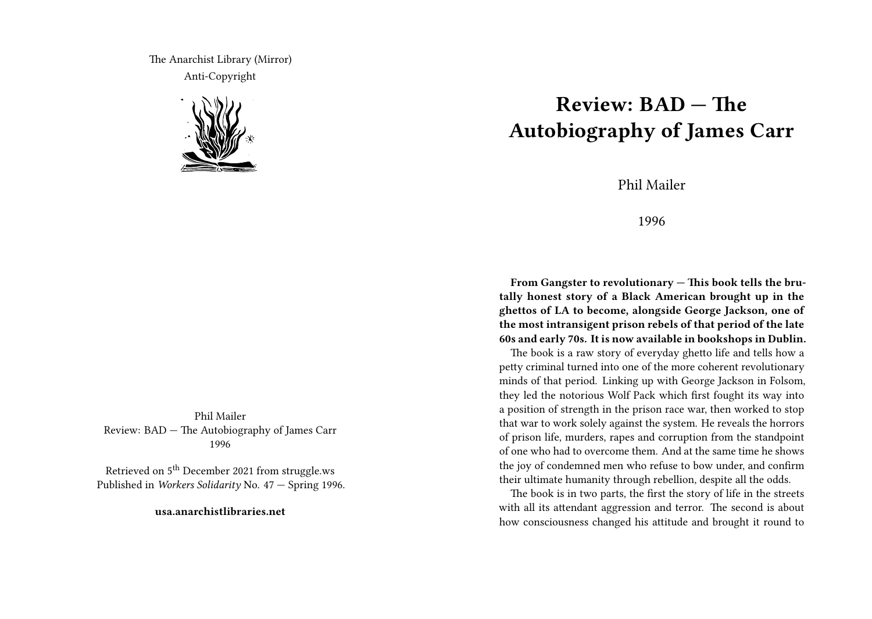The Anarchist Library (Mirror) Anti-Copyright



Phil Mailer Review: BAD — The Autobiography of James Carr 1996

Retrieved on  $5<sup>th</sup>$  December 2021 from struggle.ws Published in *Workers Solidarity* No. 47 — Spring 1996.

**usa.anarchistlibraries.net**

## **Review: BAD — The Autobiography of James Carr**

Phil Mailer

1996

**From Gangster to revolutionary — This book tells the brutally honest story of a Black American brought up in the ghettos of LA to become, alongside George Jackson, one of the most intransigent prison rebels of that period of the late 60s and early 70s. It is now available in bookshops in Dublin.**

The book is a raw story of everyday ghetto life and tells how a petty criminal turned into one of the more coherent revolutionary minds of that period. Linking up with George Jackson in Folsom, they led the notorious Wolf Pack which first fought its way into a position of strength in the prison race war, then worked to stop that war to work solely against the system. He reveals the horrors of prison life, murders, rapes and corruption from the standpoint of one who had to overcome them. And at the same time he shows the joy of condemned men who refuse to bow under, and confirm their ultimate humanity through rebellion, despite all the odds.

The book is in two parts, the first the story of life in the streets with all its attendant aggression and terror. The second is about how consciousness changed his attitude and brought it round to